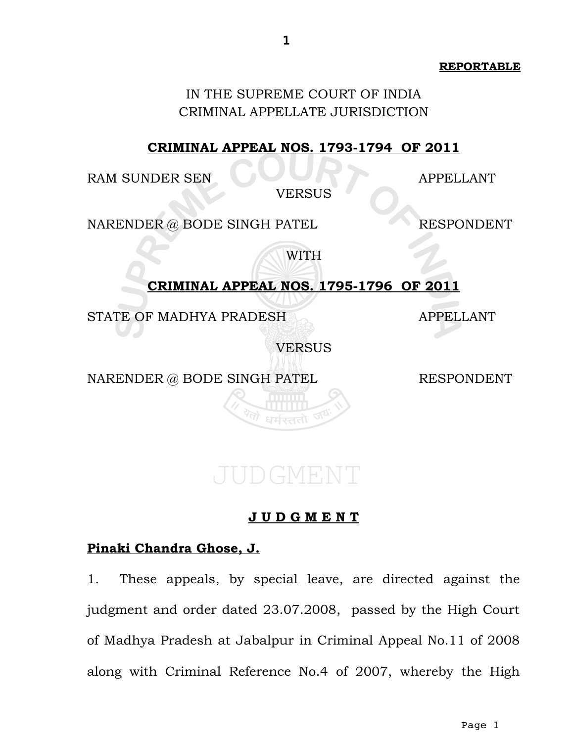**REPORTABLE**

#### IN THE SUPREME COURT OF INDIA CRIMINAL APPELLATE JURISDICTION

#### **CRIMINAL APPEAL NOS. 1793-1794 OF 2011**

RAM SUNDER SEN APPELLANT

VERSUS

NARENDER @ BODE SINGH PATEL RESPONDENT

WITH

### **CRIMINAL APPEAL NOS. 1795-1796 OF 2011**

STATE OF MADHYA PRADESH APPELLANT

VERSUS

NARENDER @ BODE SINGH PATEL RESPONDENT

#### **Pinaki Chandra Ghose, J.**

1. These appeals, by special leave, are directed against the judgment and order dated 23.07.2008, passed by the High Court of Madhya Pradesh at Jabalpur in Criminal Appeal No.11 of 2008 along with Criminal Reference No.4 of 2007, whereby the High

**J U D G M E N T**

JUDGMENT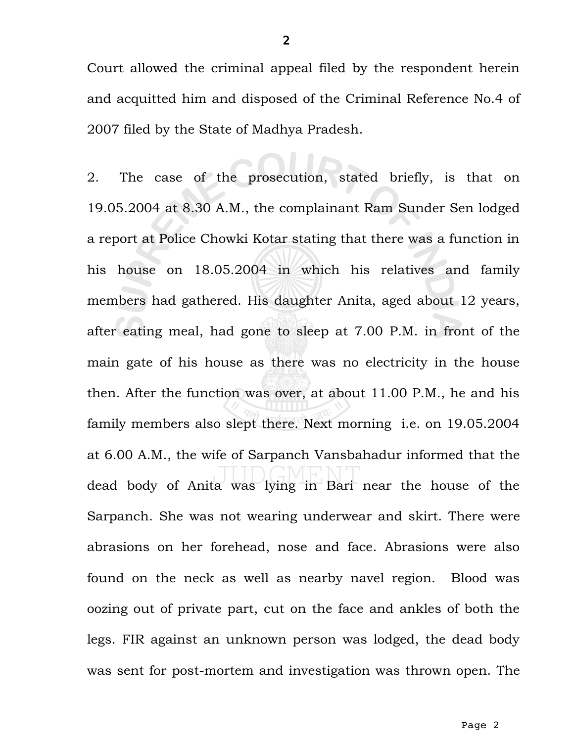Court allowed the criminal appeal filed by the respondent herein and acquitted him and disposed of the Criminal Reference No.4 of 2007 filed by the State of Madhya Pradesh.

2. The case of the prosecution, stated briefly, is that on 19.05.2004 at 8.30 A.M., the complainant Ram Sunder Sen lodged a report at Police Chowki Kotar stating that there was a function in his house on 18.05.2004 in which his relatives and family members had gathered. His daughter Anita, aged about 12 years, after eating meal, had gone to sleep at 7.00 P.M. in front of the main gate of his house as there was no electricity in the house then. After the function was over, at about 11.00 P.M., he and his family members also slept there. Next morning i.e. on 19.05.2004 at 6.00 A.M., the wife of Sarpanch Vansbahadur informed that the dead body of Anita was lying in Bari near the house of the Sarpanch. She was not wearing underwear and skirt. There were abrasions on her forehead, nose and face. Abrasions were also found on the neck as well as nearby navel region. Blood was oozing out of private part, cut on the face and ankles of both the legs. FIR against an unknown person was lodged, the dead body was sent for post-mortem and investigation was thrown open. The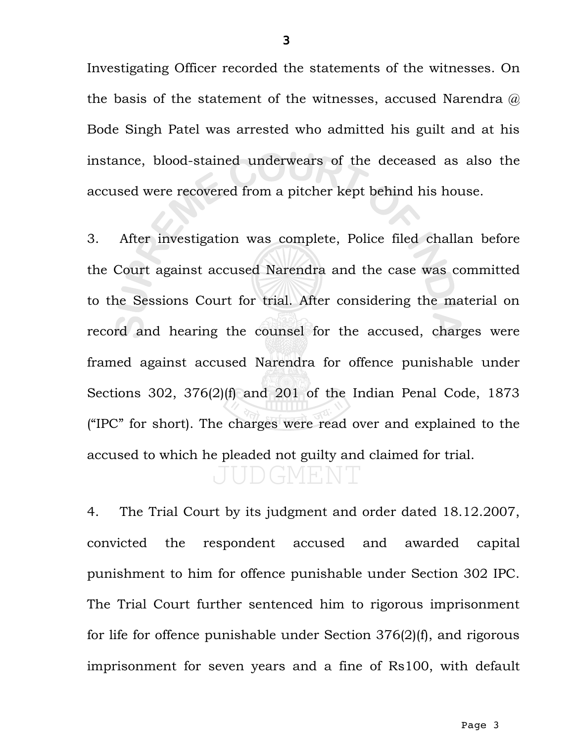Investigating Officer recorded the statements of the witnesses. On the basis of the statement of the witnesses, accused Narendra @ Bode Singh Patel was arrested who admitted his guilt and at his instance, blood-stained underwears of the deceased as also the accused were recovered from a pitcher kept behind his house.

3. After investigation was complete, Police filed challan before the Court against accused Narendra and the case was committed to the Sessions Court for trial. After considering the material on record and hearing the counsel for the accused, charges were framed against accused Narendra for offence punishable under Sections 302, 376(2)(f) and 201 of the Indian Penal Code, 1873 ("IPC" for short). The charges were read over and explained to the accused to which he pleaded not guilty and claimed for trial. UDGMENT

4. The Trial Court by its judgment and order dated 18.12.2007, convicted the respondent accused and awarded capital punishment to him for offence punishable under Section 302 IPC. The Trial Court further sentenced him to rigorous imprisonment for life for offence punishable under Section 376(2)(f), and rigorous imprisonment for seven years and a fine of Rs100, with default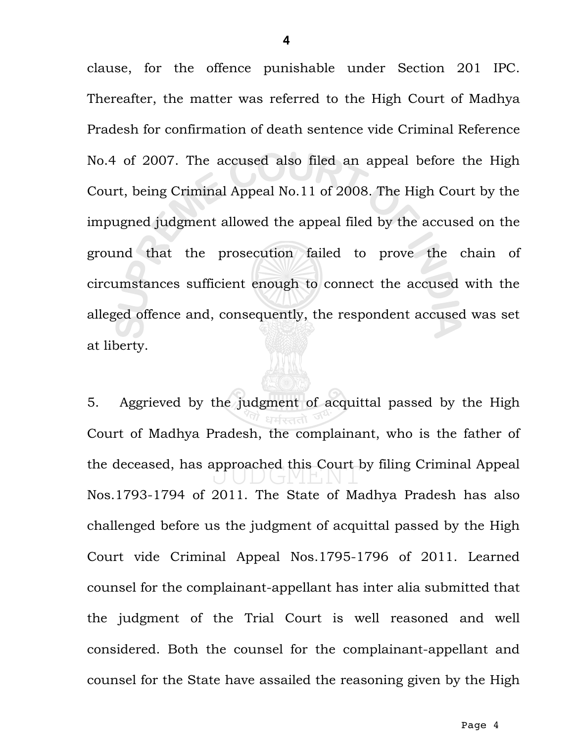clause, for the offence punishable under Section 201 IPC. Thereafter, the matter was referred to the High Court of Madhya Pradesh for confirmation of death sentence vide Criminal Reference No.4 of 2007. The accused also filed an appeal before the High Court, being Criminal Appeal No.11 of 2008. The High Court by the impugned judgment allowed the appeal filed by the accused on the ground that the prosecution failed to prove the chain of circumstances sufficient enough to connect the accused with the alleged offence and, consequently, the respondent accused was set at liberty.

5. Aggrieved by the judgment of acquittal passed by the High Court of Madhya Pradesh, the complainant, who is the father of the deceased, has approached this Court by filing Criminal Appeal Nos.1793-1794 of 2011. The State of Madhya Pradesh has also challenged before us the judgment of acquittal passed by the High Court vide Criminal Appeal Nos.1795-1796 of 2011. Learned counsel for the complainant-appellant has inter alia submitted that the judgment of the Trial Court is well reasoned and well considered. Both the counsel for the complainant-appellant and counsel for the State have assailed the reasoning given by the High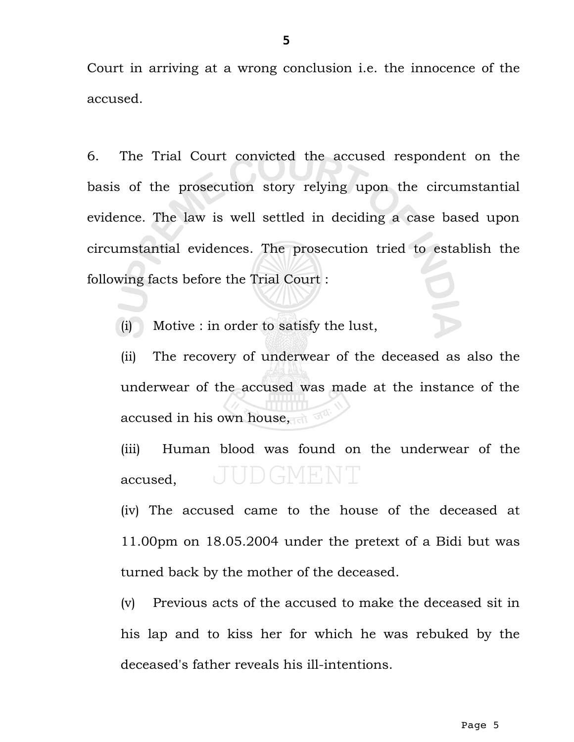Court in arriving at a wrong conclusion i.e. the innocence of the accused.

6. The Trial Court convicted the accused respondent on the basis of the prosecution story relying upon the circumstantial evidence. The law is well settled in deciding a case based upon circumstantial evidences. The prosecution tried to establish the following facts before the Trial Court :

(i) Motive : in order to satisfy the lust,

(ii) The recovery of underwear of the deceased as also the underwear of the accused was made at the instance of the accused in his own house, and

(iii) Human blood was found on the underwear of the JUDGMENT accused,

(iv) The accused came to the house of the deceased at 11.00pm on 18.05.2004 under the pretext of a Bidi but was turned back by the mother of the deceased.

(v) Previous acts of the accused to make the deceased sit in his lap and to kiss her for which he was rebuked by the deceased's father reveals his ill-intentions.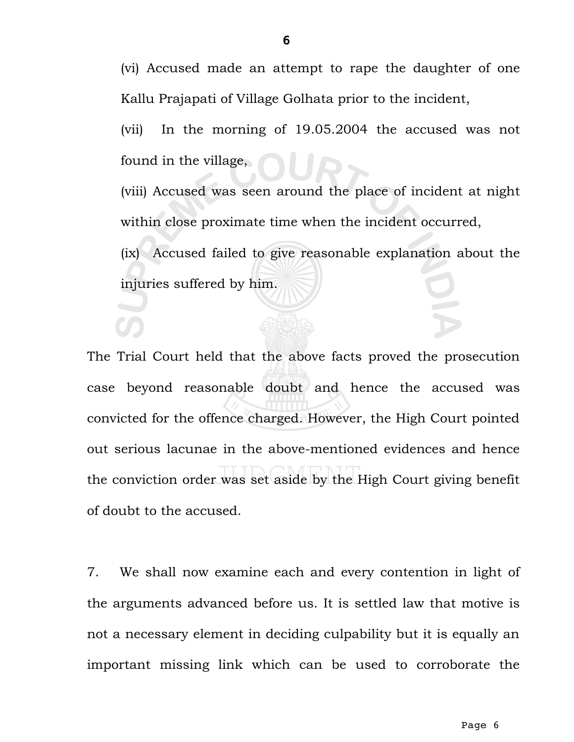(vi) Accused made an attempt to rape the daughter of one Kallu Prajapati of Village Golhata prior to the incident,

(vii) In the morning of 19.05.2004 the accused was not found in the village,

(viii) Accused was seen around the place of incident at night within close proximate time when the incident occurred,

(ix) Accused failed to give reasonable explanation about the injuries suffered by him.

The Trial Court held that the above facts proved the prosecution case beyond reasonable doubt and hence the accused was convicted for the offence charged. However, the High Court pointed out serious lacunae in the above-mentioned evidences and hence the conviction order was set aside by the High Court giving benefit of doubt to the accused.

7. We shall now examine each and every contention in light of the arguments advanced before us. It is settled law that motive is not a necessary element in deciding culpability but it is equally an important missing link which can be used to corroborate the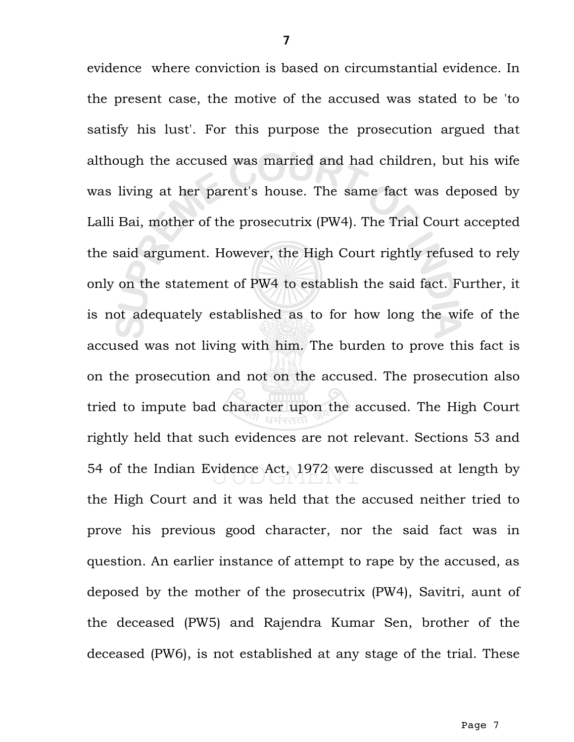evidence where conviction is based on circumstantial evidence. In the present case, the motive of the accused was stated to be 'to satisfy his lust'. For this purpose the prosecution argued that although the accused was married and had children, but his wife was living at her parent's house. The same fact was deposed by Lalli Bai, mother of the prosecutrix (PW4). The Trial Court accepted the said argument. However, the High Court rightly refused to rely only on the statement of PW4 to establish the said fact. Further, it is not adequately established as to for how long the wife of the accused was not living with him. The burden to prove this fact is on the prosecution and not on the accused. The prosecution also tried to impute bad character upon the accused. The High Court rightly held that such evidences are not relevant. Sections 53 and 54 of the Indian Evidence Act, 1972 were discussed at length by the High Court and it was held that the accused neither tried to prove his previous good character, nor the said fact was in question. An earlier instance of attempt to rape by the accused, as deposed by the mother of the prosecutrix (PW4), Savitri, aunt of the deceased (PW5) and Rajendra Kumar Sen, brother of the deceased (PW6), is not established at any stage of the trial. These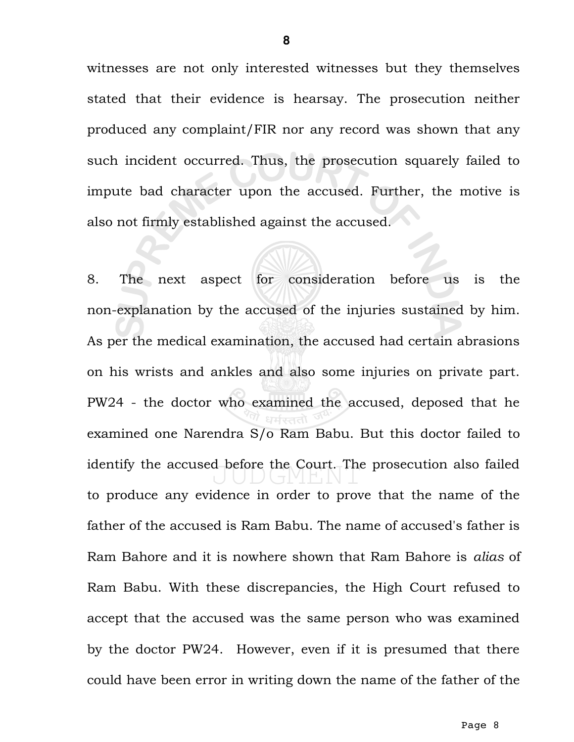witnesses are not only interested witnesses but they themselves stated that their evidence is hearsay. The prosecution neither produced any complaint/FIR nor any record was shown that any such incident occurred. Thus, the prosecution squarely failed to impute bad character upon the accused. Further, the motive is also not firmly established against the accused.

8. The next aspect for consideration before us is the non-explanation by the accused of the injuries sustained by him. As per the medical examination, the accused had certain abrasions on his wrists and ankles and also some injuries on private part. PW24 - the doctor who examined the accused, deposed that he examined one Narendra S/o Ram Babu. But this doctor failed to identify the accused before the Court. The prosecution also failed to produce any evidence in order to prove that the name of the father of the accused is Ram Babu. The name of accused's father is Ram Bahore and it is nowhere shown that Ram Bahore is *alias* of Ram Babu. With these discrepancies, the High Court refused to accept that the accused was the same person who was examined by the doctor PW24. However, even if it is presumed that there could have been error in writing down the name of the father of the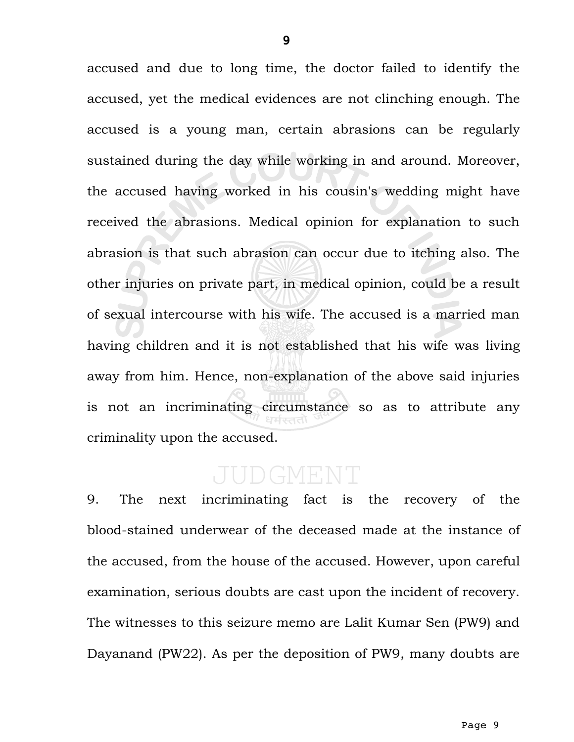accused and due to long time, the doctor failed to identify the accused, yet the medical evidences are not clinching enough. The accused is a young man, certain abrasions can be regularly sustained during the day while working in and around. Moreover, the accused having worked in his cousin's wedding might have received the abrasions. Medical opinion for explanation to such abrasion is that such abrasion can occur due to itching also. The other injuries on private part, in medical opinion, could be a result of sexual intercourse with his wife. The accused is a married man having children and it is not established that his wife was living away from him. Hence, non-explanation of the above said injuries is not an incriminating circumstance so as to attribute any criminality upon the accused.

## DGMEN

9. The next incriminating fact is the recovery of the blood-stained underwear of the deceased made at the instance of the accused, from the house of the accused. However, upon careful examination, serious doubts are cast upon the incident of recovery. The witnesses to this seizure memo are Lalit Kumar Sen (PW9) and Dayanand (PW22). As per the deposition of PW9, many doubts are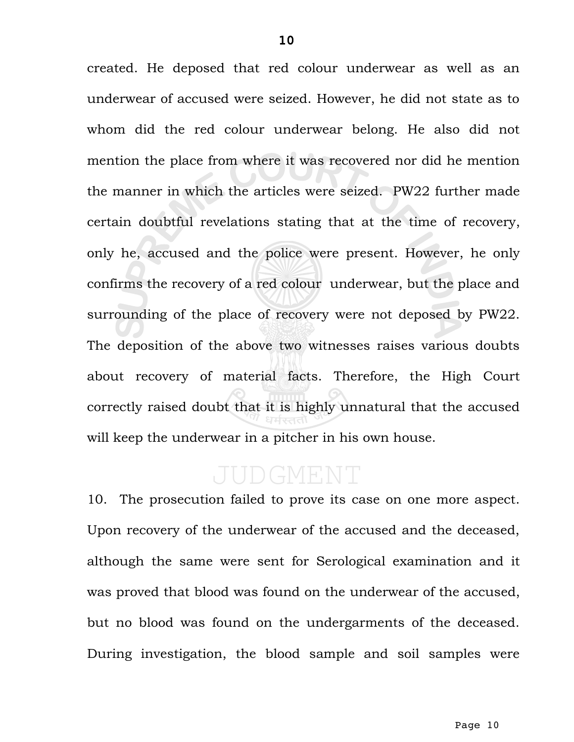created. He deposed that red colour underwear as well as an underwear of accused were seized. However, he did not state as to whom did the red colour underwear belong. He also did not mention the place from where it was recovered nor did he mention the manner in which the articles were seized. PW22 further made certain doubtful revelations stating that at the time of recovery, only he, accused and the police were present. However, he only confirms the recovery of a red colour underwear, but the place and surrounding of the place of recovery were not deposed by PW22. The deposition of the above two witnesses raises various doubts about recovery of material facts. Therefore, the High Court correctly raised doubt that it is highly unnatural that the accused will keep the underwear in a pitcher in his own house.

# JUDGMENT

10. The prosecution failed to prove its case on one more aspect. Upon recovery of the underwear of the accused and the deceased, although the same were sent for Serological examination and it was proved that blood was found on the underwear of the accused, but no blood was found on the undergarments of the deceased. During investigation, the blood sample and soil samples were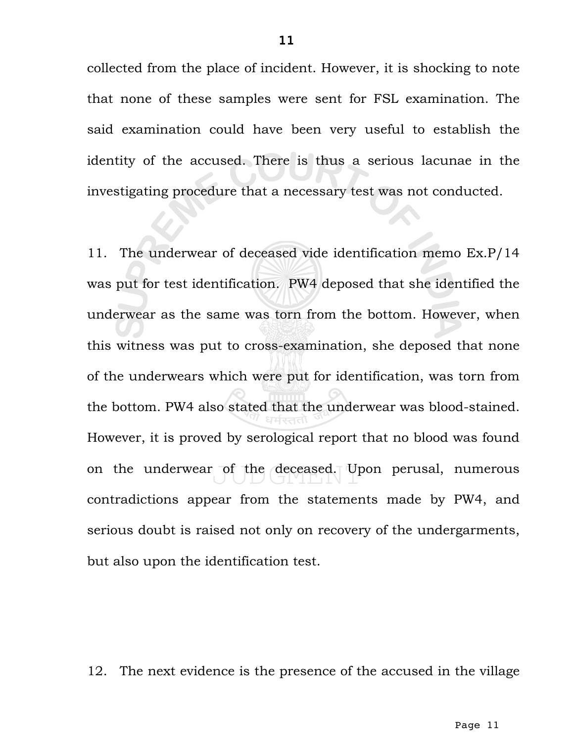collected from the place of incident. However, it is shocking to note that none of these samples were sent for FSL examination. The said examination could have been very useful to establish the identity of the accused. There is thus a serious lacunae in the investigating procedure that a necessary test was not conducted.

11. The underwear of deceased vide identification memo Ex.P/14 was put for test identification. PW4 deposed that she identified the underwear as the same was torn from the bottom. However, when this witness was put to cross-examination, she deposed that none of the underwears which were put for identification, was torn from the bottom. PW4 also stated that the underwear was blood-stained. However, it is proved by serological report that no blood was found on the underwear of the deceased. Upon perusal, numerous contradictions appear from the statements made by PW4, and serious doubt is raised not only on recovery of the undergarments, but also upon the identification test.

12. The next evidence is the presence of the accused in the village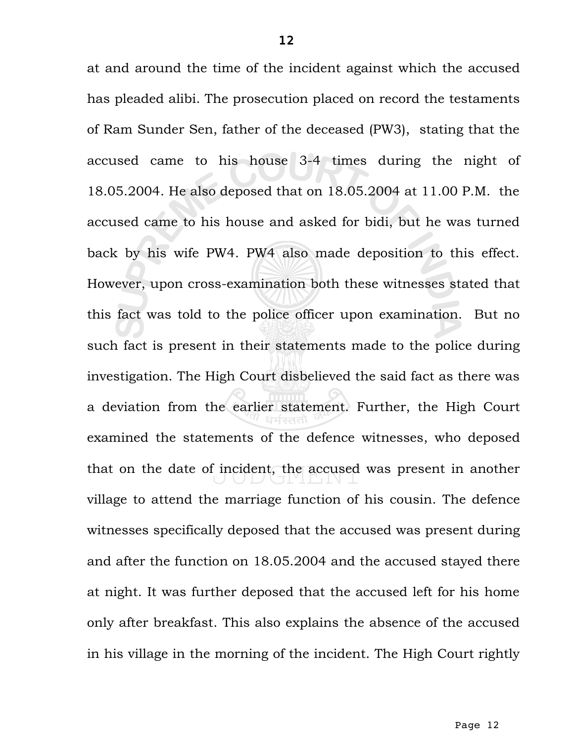at and around the time of the incident against which the accused has pleaded alibi. The prosecution placed on record the testaments of Ram Sunder Sen, father of the deceased (PW3), stating that the accused came to his house 3-4 times during the night of 18.05.2004. He also deposed that on 18.05.2004 at 11.00 P.M. the accused came to his house and asked for bidi, but he was turned back by his wife PW4. PW4 also made deposition to this effect. However, upon cross-examination both these witnesses stated that this fact was told to the police officer upon examination. But no such fact is present in their statements made to the police during investigation. The High Court disbelieved the said fact as there was a deviation from the earlier statement. Further, the High Court examined the statements of the defence witnesses, who deposed that on the date of incident, the accused was present in another village to attend the marriage function of his cousin. The defence witnesses specifically deposed that the accused was present during and after the function on 18.05.2004 and the accused stayed there at night. It was further deposed that the accused left for his home only after breakfast. This also explains the absence of the accused in his village in the morning of the incident. The High Court rightly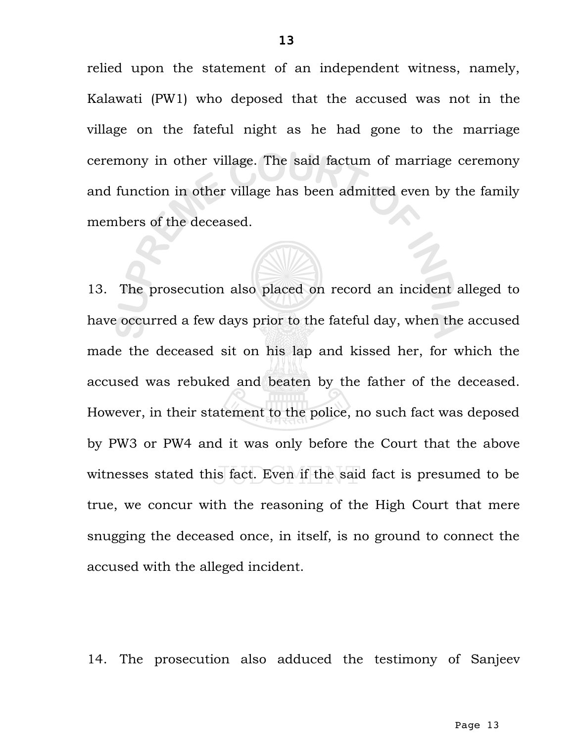relied upon the statement of an independent witness, namely, Kalawati (PW1) who deposed that the accused was not in the village on the fateful night as he had gone to the marriage ceremony in other village. The said factum of marriage ceremony and function in other village has been admitted even by the family members of the deceased.

13. The prosecution also placed on record an incident alleged to have occurred a few days prior to the fateful day, when the accused made the deceased sit on his lap and kissed her, for which the accused was rebuked and beaten by the father of the deceased. However, in their statement to the police, no such fact was deposed by PW3 or PW4 and it was only before the Court that the above witnesses stated this fact. Even if the said fact is presumed to be true, we concur with the reasoning of the High Court that mere snugging the deceased once, in itself, is no ground to connect the accused with the alleged incident.

14. The prosecution also adduced the testimony of Sanjeev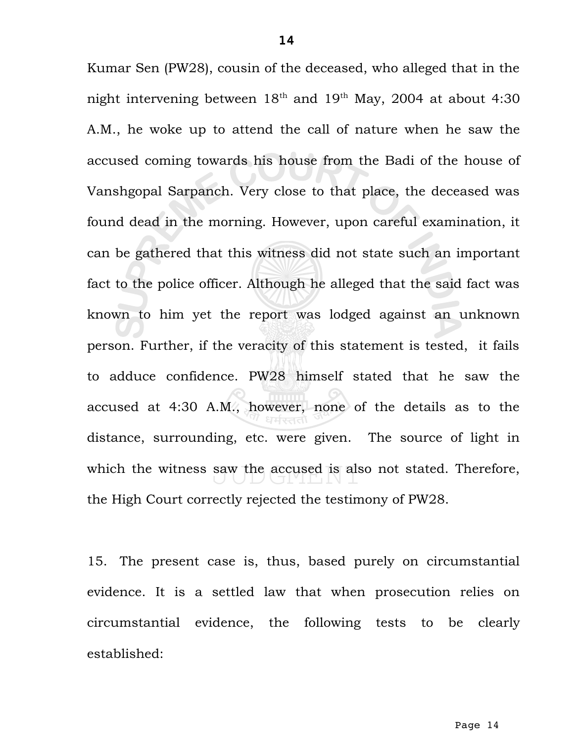Kumar Sen (PW28), cousin of the deceased, who alleged that in the night intervening between  $18<sup>th</sup>$  and  $19<sup>th</sup>$  May, 2004 at about 4:30 A.M., he woke up to attend the call of nature when he saw the accused coming towards his house from the Badi of the house of Vanshgopal Sarpanch. Very close to that place, the deceased was found dead in the morning. However, upon careful examination, it can be gathered that this witness did not state such an important fact to the police officer. Although he alleged that the said fact was known to him yet the report was lodged against an unknown person. Further, if the veracity of this statement is tested, it fails to adduce confidence. PW28 himself stated that he saw the accused at 4:30 A.M., however, none of the details as to the distance, surrounding, etc. were given. The source of light in which the witness saw the accused is also not stated. Therefore, the High Court correctly rejected the testimony of PW28.

15. The present case is, thus, based purely on circumstantial evidence. It is a settled law that when prosecution relies on circumstantial evidence, the following tests to be clearly established: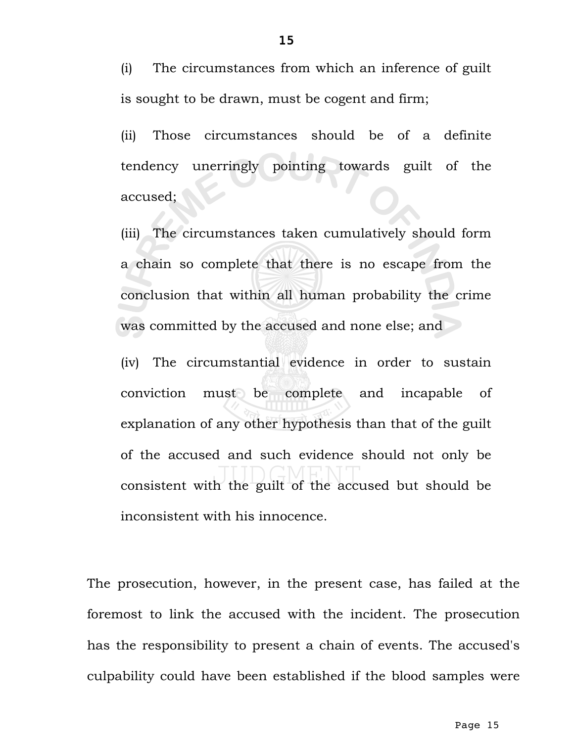(i) The circumstances from which an inference of guilt is sought to be drawn, must be cogent and firm;

(ii) Those circumstances should be of a definite tendency unerringly pointing towards guilt of the accused;

(iii) The circumstances taken cumulatively should form a chain so complete that there is no escape from the conclusion that within all human probability the crime was committed by the accused and none else; and

(iv) The circumstantial evidence in order to sustain conviction must be complete and incapable of explanation of any other hypothesis than that of the guilt of the accused and such evidence should not only be consistent with the guilt of the accused but should be inconsistent with his innocence.

The prosecution, however, in the present case, has failed at the foremost to link the accused with the incident. The prosecution has the responsibility to present a chain of events. The accused's culpability could have been established if the blood samples were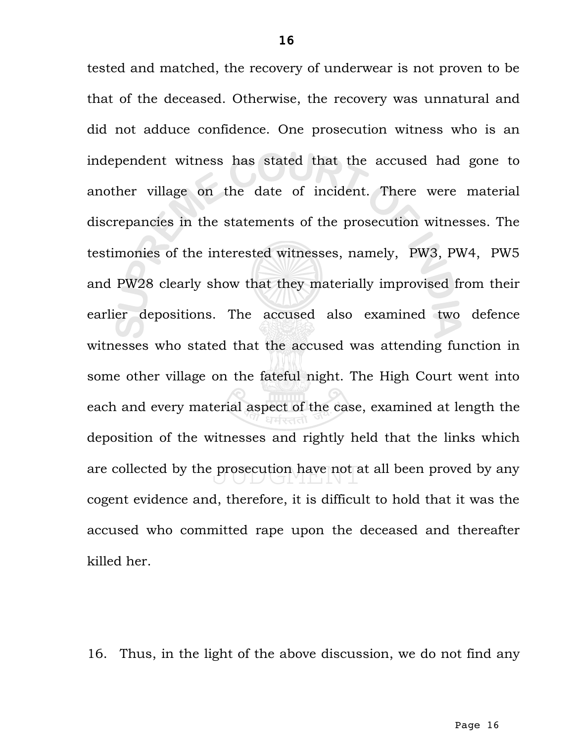tested and matched, the recovery of underwear is not proven to be that of the deceased. Otherwise, the recovery was unnatural and did not adduce confidence. One prosecution witness who is an independent witness has stated that the accused had gone to another village on the date of incident. There were material discrepancies in the statements of the prosecution witnesses. The testimonies of the interested witnesses, namely, PW3, PW4, PW5 and PW28 clearly show that they materially improvised from their earlier depositions. The accused also examined two defence witnesses who stated that the accused was attending function in some other village on the fateful night. The High Court went into each and every material aspect of the case, examined at length the deposition of the witnesses and rightly held that the links which are collected by the prosecution have not at all been proved by any cogent evidence and, therefore, it is difficult to hold that it was the accused who committed rape upon the deceased and thereafter killed her.

16. Thus, in the light of the above discussion, we do not find any